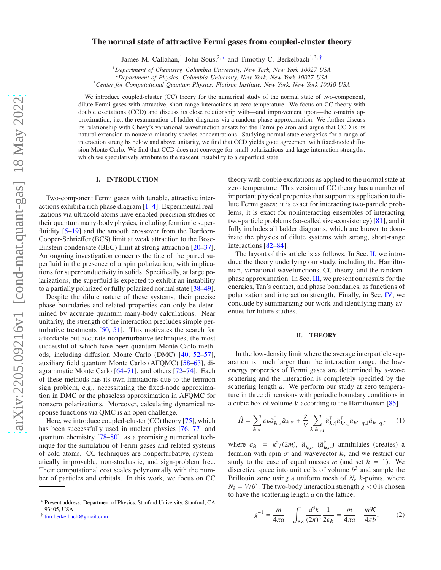# The normal state of attractive Fermi gases from coupled-cluster theory

James M. Callahan,<sup>1</sup> John Sous,<sup>2,\*</sup> and Timothy C. Berkelbach<sup>1,3,[†](#page-0-1)</sup>

<sup>1</sup>*Department of Chemistry, Columbia University, New York, New York 10027 USA*

<sup>2</sup>*Department of Physics, Columbia University, New York, New York 10027 USA*

<sup>3</sup>*Center for Computational Quantum Physics, Flatiron Institute, New York, New York 10010 USA*

We introduce coupled-cluster (CC) theory for the numerical study of the normal state of two-component, dilute Fermi gases with attractive, short-range interactions at zero temperature. We focus on CC theory with double excitations (CCD) and discuss its close relationship with—and improvement upon—the *t*-matrix approximation, i.e., the resummation of ladder diagrams via a random-phase approximation. We further discuss its relationship with Chevy's variational wavefunction ansatz for the Fermi polaron and argue that CCD is its natural extension to nonzero minority species concentrations. Studying normal state energetics for a range of interaction strengths below and above unitarity, we find that CCD yields good agreement with fixed-node diffusion Monte Carlo. We find that CCD does not converge for small polarizations and large interaction strengths, which we speculatively attribute to the nascent instability to a superfluid state.

### I. INTRODUCTION

Two-component Fermi gases with tunable, attractive interactions exhibit a rich phase diagram [\[1](#page-4-0)[–4](#page-4-1)]. Experimental realizations via ultracold atoms have enabled precision studies of their quantum many-body physics, including fermionic superfluidity [\[5](#page-4-2)[–19\]](#page-5-0) and the smooth crossover from the Bardeen-Cooper-Schrieffer (BCS) limit at weak attraction to the Bose-Einstein condensate (BEC) limit at strong attraction [\[20](#page-5-1)[–37](#page-5-2)]. An ongoing investigation concerns the fate of the paired superfluid in the presence of a spin polarization, with implications for superconductivity in solids. Specifically, at large polarizations, the superfluid is expected to exhibit an instability to a partially polarized or fully polarized normal state [\[38](#page-5-3)[–49](#page-5-4)].

Despite the dilute nature of these systems, their precise phase boundaries and related properties can only be determined by accurate quantum many-body calculations. Near unitarity, the strength of the interaction precludes simple perturbative treatments [\[50](#page-5-5), [51](#page-5-6)]. This motivates the search for affordable but accurate nonperturbative techniques, the most successful of which have been quantum Monte Carlo methods, including diffusion Monte Carlo (DMC) [\[40,](#page-5-7) [52](#page-5-8)[–57](#page-5-9)], auxiliary field quantum Monte Carlo (AFQMC) [\[58](#page-5-10)[–63](#page-5-11)], diagrammatic Monte Carlo [\[64](#page-5-12)[–71\]](#page-5-13), and others [\[72](#page-5-14)[–74\]](#page-5-15). Each of these methods has its own limitations due to the fermion sign problem, e.g., necessitating the fixed-node approximation in DMC or the phaseless approximation in AFQMC for nonzero polarizations. Moreover, calculating dynamical response functions via QMC is an open challenge.

Here, we introduce coupled-cluster (CC) theory [\[75\]](#page-5-16), which has been successfully used in nuclear physics [\[76](#page-5-17), [77\]](#page-5-18) and quantum chemistry [\[78](#page-5-19)[–80](#page-5-20)], as a promising numerical technique for the simulation of Fermi gases and related systems of cold atoms. CC techniques are nonperturbative, systematically improvable, non-stochastic, and sign-problem free. Their computational cost scales polynomially with the number of particles and orbitals. In this work, we focus on CC

theory with double excitations as applied to the normal state at zero temperature. This version of CC theory has a number of important physical properties that support its application to dilute Fermi gases: it is exact for interacting two-particle problems, it is exact for noninteracting ensembles of interacting two-particle problems (so-called size-consistency) [\[81\]](#page-5-21), and it fully includes all ladder diagrams, which are known to dominate the physics of dilute systems with strong, short-range interactions [\[82](#page-5-22)[–84](#page-5-23)].

The layout of this article is as follows. In Sec. [II,](#page-0-2) we introduce the theory underlying our study, including the Hamiltonian, variational wavefunctions, CC theory, and the randomphase approximation. In Sec. [III,](#page-2-0) we present our results for the energies, Tan's contact, and phase boundaries, as functions of polarization and interaction strength. Finally, in Sec. [IV,](#page-4-3) we conclude by summarizing our work and identifying many avenues for future studies.

## <span id="page-0-2"></span>II. THEORY

In the low-density limit where the average interparticle separation is much larger than the interaction range, the lowenergy properties of Fermi gases are determined by *s*-wave scattering and the interaction is completely specified by the scattering length *a*. We perform our study at zero temperature in three dimensions with periodic boundary conditions in a cubic box of volume *V* according to the Hamiltonian [\[85\]](#page-5-24)

<span id="page-0-3"></span>
$$
\hat{H} = \sum_{\mathbf{k},\sigma} \varepsilon_{\mathbf{k}} \hat{a}_{\mathbf{k},\sigma}^{\dagger} \hat{a}_{\mathbf{k},\sigma} + \frac{g}{V} \sum_{\mathbf{k},\mathbf{k}',\mathbf{q}} \hat{a}_{\mathbf{k},\uparrow}^{\dagger} \hat{a}_{\mathbf{k}',\downarrow}^{\dagger} \hat{a}_{\mathbf{k}'+\mathbf{q},\downarrow} \hat{a}_{\mathbf{k}-\mathbf{q},\uparrow} \tag{1}
$$

where  $\varepsilon_k = k^2/(2m)$ ,  $\hat{a}_{k,\sigma}$   $(\hat{a}_k^{\dagger})$  $\bar{k}_{,\sigma}$ ) annihilates (creates) a fermion with spin  $\sigma$  and wavevector k, and we restrict our study to the case of equal masses *m* (and set  $\hbar = 1$ ). We discretize space into unit cells of volume  $b<sup>3</sup>$  and sample the Brillouin zone using a uniform mesh of  $N_k$  *k*-points, where  $N_k = V/b^3$ . The two-body interaction strength  $g < 0$  is chosen to have the scattering length *a* on the lattice,

$$
g^{-1} = \frac{m}{4\pi a} - \int_{\text{BZ}} \frac{d^3 k}{(2\pi)^3} \frac{1}{2\varepsilon_k} = \frac{m}{4\pi a} - \frac{mK}{4\pi b},\tag{2}
$$

<span id="page-0-0"></span><sup>∗</sup> Present address: Department of Physics, Stanford University, Stanford, CA 93405, USA

<span id="page-0-1"></span><sup>†</sup> [tim.berkelbach@gmail.com](mailto:tim.berkelbach@gmail.com)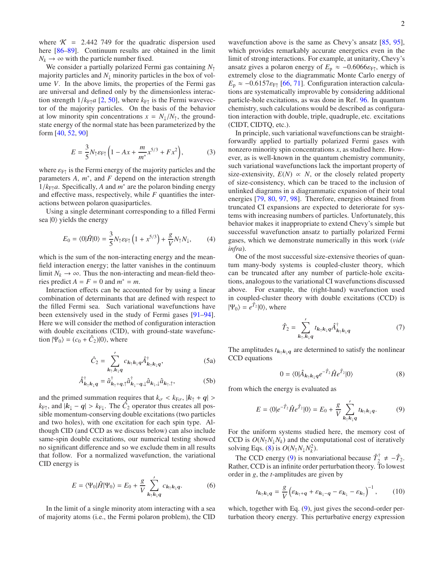where  $\mathcal{K} = 2.442$  749 for the quadratic dispersion used here [\[86](#page-5-25)[–89\]](#page-6-0). Continuum results are obtained in the limit  $N_k \rightarrow \infty$  with the particle number fixed.

We consider a partially polarized Fermi gas containing *N*<sup>↑</sup> majority particles and  $N_{\perp}$  minority particles in the box of volume *V*. In the above limits, the properties of the Fermi gas are universal and defined only by the dimensionless interaction strength  $1/k_{\text{F1}}a$  [\[2,](#page-4-4) [50](#page-5-5)], where  $k_{\text{F1}}$  is the Fermi wavevector of the majority particles. On the basis of the behavior at low minority spin concentrations  $x = N_{\perp}/N_{\uparrow}$ , the groundstate energy of the normal state has been parameterized by the form [\[40](#page-5-7), [52](#page-5-8), [90](#page-6-1)]

<span id="page-1-2"></span>
$$
E = \frac{3}{5} N_{\uparrow} \varepsilon_{\rm FT} \left( 1 - Ax + \frac{m}{m^*} x^{5/3} + F x^2 \right),\tag{3}
$$

where  $\varepsilon_{F\uparrow}$  is the Fermi energy of the majority particles and the parameters  $A$ ,  $m^*$ , and  $F$  depend on the interaction strength  $1/k_{\text{F}\uparrow}a$ . Specifically, *A* and  $m^*$  are the polaron binding energy and effective mass, respectively, while *F* quantifies the interactions between polaron quasiparticles.

Using a single determinant corresponding to a filled Fermi sea  $|0\rangle$  yields the energy

$$
E_0 = \langle 0|\hat{H}|0\rangle = \frac{3}{5}N_\uparrow \varepsilon_{\rm F\uparrow} \left(1 + x^{5/3}\right) + \frac{g}{V}N_\uparrow N_\downarrow, \tag{4}
$$

which is the sum of the non-interacting energy and the meanfield interaction energy; the latter vanishes in the continuum limit  $N_k \to \infty$ . Thus the non-interacting and mean-field theories predict  $A = F = 0$  and  $m^* = m$ .

Interaction effects can be accounted for by using a linear combination of determinants that are defined with respect to the filled Fermi sea. Such variational wavefunctions have been extensively used in the study of Fermi gases [\[91](#page-6-2)[–94](#page-6-3)]. Here we will consider the method of configuration interaction with double excitations (CID), with ground-state wavefunction  $|\Psi_0\rangle = (c_0 + \hat{C}_2)|0\rangle$ , where

$$
\hat{C}_2 = \sum_{k_1, k_1, q}^{\prime} c_{k_1 k_1} \hat{A}_{k_1 k_1 q}^{\dagger}, \qquad (5a)
$$

$$
\hat{A}_{\boldsymbol{k}_{\uparrow}\boldsymbol{k}_{\downarrow}\boldsymbol{q}}^{\dagger} = \hat{a}_{\boldsymbol{k}_{\uparrow}+\boldsymbol{q}_{\uparrow}}^{\dagger} \hat{a}_{\boldsymbol{k}_{\downarrow}-\boldsymbol{q}_{\uparrow}\downarrow}^{\dagger} \hat{a}_{\boldsymbol{k}_{\downarrow},\downarrow} \hat{a}_{\boldsymbol{k}_{\uparrow},\uparrow}, \tag{5b}
$$

and the primed summation requires that  $k_{\sigma} < k_{\text{F}\sigma}$ ,  $|k_{\uparrow} + q| >$  $k_{\text{F}\uparrow}$ , and  $|\mathbf{k}_{\downarrow} - \mathbf{q}| > k_{\text{F}\downarrow}$ . The  $\hat{C}_2$  operator thus creates all possible momentum-conserving double excitations (two particles and two holes), with one excitation for each spin type. Although CID (and CCD as we discuss below) can also include same-spin double excitations, our numerical testing showed no significant difference and so we exclude them in all results that follow. For a normalized wavefunction, the variational CID energy is

$$
E = \langle \Psi_0 | \hat{H} | \Psi_0 \rangle = E_0 + \frac{g}{V} \sum_{k_1 k_1 q}^{\prime} c_{k_1 k_1 q}.
$$
 (6)

In the limit of a single minority atom interacting with a sea of majority atoms (i.e., the Fermi polaron problem), the CID

wavefunction above is the same as Chevy's ansatz [\[85](#page-5-24), [95](#page-6-4)], which provides remarkably accurate energetics even in the limit of strong interactions. For example, at unitarity, Chevy's ansatz gives a polaron energy of  $E_p \approx -0.6066 \varepsilon_{F\uparrow}$ , which is extremely close to the diagrammatic Monte Carlo energy of  $E_p \approx -0.6157 \varepsilon_{F\uparrow}$  [\[66,](#page-5-26) [71\]](#page-5-13). Configuration interaction calculations are systematically improvable by considering additional particle-hole excitations, as was done in Ref. [96.](#page-6-5) In quantum chemistry, such calculations would be described as configuration interaction with double, triple, quadruple, etc. excitations (CIDT, CIDTQ, etc.).

In principle, such variational wavefunctions can be straightforwardly applied to partially polarized Fermi gases with nonzero minority spin concentrations *x*, as studied here. However, as is well-known in the quantum chemistry community, such variational wavefunctions lack the important property of size-extensivity,  $E(N) \propto N$ , or the closely related property of size-consistency, which can be traced to the inclusion of unlinked diagrams in a diagrammatic expansion of their total energies [\[79,](#page-5-27) [80](#page-5-20), [97,](#page-6-6) [98](#page-6-7)]. Therefore, energies obtained from truncated CI expansions are expected to deteriorate for systems with increasing numbers of particles. Unfortunately, this behavior makes it inappropriate to extend Chevy's simple but successful wavefunction ansatz to partially polarized Fermi gases, which we demonstrate numerically in this work (*vide infra*).

One of the most successful size-extensive theories of quantum many-body systems is coupled-cluster theory, which can be truncated after any number of particle-hole excitations, analogous to the variational CI wavefunctions discussed above. For example, the (right-hand) wavefunction used in coupled-cluster theory with double excitations (CCD) is  $|\Psi_0\rangle = e^{\hat{T}_2} |0\rangle$ , where

$$
\hat{T}_2 = \sum_{k_{\uparrow}, k_{\downarrow}q}^{\prime} t_{k_{\uparrow}k_{\downarrow}q} \hat{A}_{k_{\uparrow}k_{\downarrow}q}^{\dagger} \tag{7}
$$

The amplitudes  $t_{k_1k_1q}$  are determined to satisfy the nonlinear CCD equations

<span id="page-1-0"></span>
$$
0 = \langle 0 | \hat{A}_{\mathbf{k}_1 \mathbf{k}_1 \mathbf{q}} e^{-\hat{T}_2} \hat{H} e^{\hat{T}_2} | 0 \rangle \tag{8}
$$

from which the energy is evaluated as

<span id="page-1-1"></span>
$$
E = \langle 0|e^{-\hat{T}_2}\hat{H}e^{\hat{T}_2}|0\rangle = E_0 + \frac{g}{V} \sum_{k_{\uparrow}k_{\downarrow}q}^{\prime} t_{k_{\uparrow}k_{\downarrow}q}.
$$
 (9)

For the uniform systems studied here, the memory cost of CCD is  $O(N_1N_1N_k)$  and the computational cost of iteratively solving Eqs. [\(8\)](#page-1-0) is  $O(N_1N_\downarrow N_k^2)$ .

The CCD energy [\(9\)](#page-1-1) is nonvariational because  $\hat{T}_2^{\dagger}$  $\frac{1}{2}$  ≠  $-\hat{T}_2$ . Rather, CCD is an infinite order perturbation theory. To lowest order in *g*, the *t*-amplitudes are given by

$$
t_{k_{\uparrow}k_{\downarrow}q} = \frac{g}{V} \left( \varepsilon_{k_{\uparrow}+q} + \varepsilon_{k_{\downarrow}-q} - \varepsilon_{k_{\downarrow}} - \varepsilon_{k_{\uparrow}} \right)^{-1}, \qquad (10)
$$

which, together with Eq. [\(9\)](#page-1-1), just gives the second-order perturbation theory energy. This perturbative energy expression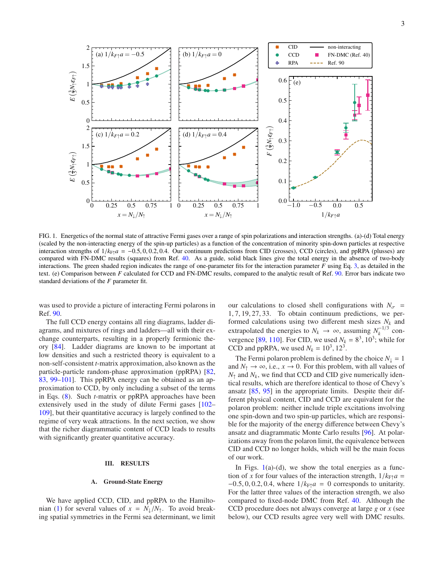

<span id="page-2-1"></span>FIG. 1. Energetics of the normal state of attractive Fermi gases over a range of spin polarizations and interaction strengths. (a)-(d) Total energy (scaled by the non-interacting energy of the spin-up particles) as a function of the concentration of minority spin-down particles at respective interaction strengths of  $1/k_{\text{F1}}a = -0.5, 0, 0.2, 0.4$ . Our continuum predictions from CID (crosses), CCD (circles), and ppRPA (plusses) are compared with FN-DMC results (squares) from Ref. [40.](#page-5-7) As a guide, solid black lines give the total energy in the absence of two-body interactions. The green shaded region indicates the range of one-parameter fits for the interaction parameter *F* using Eq. [3,](#page-1-2) as detailed in the text. (e) Comparison between *F* calculated for CCD and FN-DMC results, compared to the analytic result of Ref. [90](#page-6-1). Error bars indicate two standard deviations of the *F* parameter fit.

was used to provide a picture of interacting Fermi polarons in Ref. [90](#page-6-1).

The full CCD energy contains all ring diagrams, ladder diagrams, and mixtures of rings and ladders—all with their exchange counterparts, resulting in a properly fermionic theory [\[84](#page-5-23)]. Ladder diagrams are known to be important at low densities and such a restricted theory is equivalent to a non-self-consistent *t*-matrix approximation, also known as the particle-particle random-phase approximation (ppRPA) [\[82,](#page-5-22) [83,](#page-5-28) [99](#page-6-8)[–101\]](#page-6-9). This ppRPA energy can be obtained as an approximation to CCD, by only including a subset of the terms in Eqs. [\(8\)](#page-1-0). Such *t*-matrix or ppRPA approaches have been extensively used in the study of dilute Fermi gases [\[102](#page-6-10)– [109](#page-6-11)], but their quantitative accuracy is largely confined to the regime of very weak attractions. In the next section, we show that the richer diagrammatic content of CCD leads to results with significantly greater quantitative accuracy.

## <span id="page-2-0"></span>III. RESULTS

### A. Ground-State Energy

We have applied CCD, CID, and ppRPA to the Hamilto-nian [\(1\)](#page-0-3) for several values of  $x = N_{\perp}/N_{\uparrow}$ . To avoid breaking spatial symmetries in the Fermi sea determinant, we limit our calculations to closed shell configurations with  $N_{\sigma}$  = 1, 7, 19, 27, 33. To obtain continuum predictions, we performed calculations using two different mesh sizes *N<sup>k</sup>* and extrapolated the energies to  $N_k \to \infty$ , assuming  $N_k^{-1/3}$  con-vergence [\[89,](#page-6-0) [110\]](#page-6-12). For CID, we used  $N_k = 8^3, 10^3$ ; while for CCD and ppRPA, we used  $N_k = 10^3, 12^3$ .

The Fermi polaron problem is defined by the choice  $N_{\perp} = 1$ and  $N_{\uparrow} \rightarrow \infty$ , i.e.,  $x \rightarrow 0$ . For this problem, with all values of  $N_{\uparrow}$  and  $N_k$ , we find that CCD and CID give numerically identical results, which are therefore identical to those of Chevy's ansatz [\[85](#page-5-24), [95](#page-6-4)] in the appropriate limits. Despite their different physical content, CID and CCD are equivalent for the polaron problem: neither include triple excitations involving one spin-down and two spin-up particles, which are responsible for the majority of the energy difference between Chevy's ansatz and diagrammatic Monte Carlo results [\[96\]](#page-6-5). At polarizations away from the polaron limit, the equivalence between CID and CCD no longer holds, which will be the main focus of our work.

In Figs.  $1(a)-(d)$  $1(a)-(d)$ , we show the total energies as a function of *x* for four values of the interaction strength,  $1/k_{\text{F}\uparrow}a$  =  $-0.5, 0, 0.2, 0.4$ , where  $1/k_{\text{F}\uparrow}a = 0$  corresponds to unitarity. For the latter three values of the interaction strength, we also compared to fixed-node DMC from Ref. [40.](#page-5-7) Although the CCD procedure does not always converge at large *g* or *x* (see below), our CCD results agree very well with DMC results.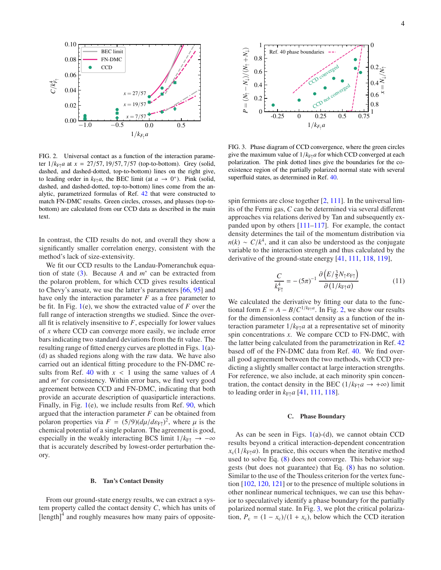

<span id="page-3-0"></span>FIG. 2. Universal contact as a function of the interaction parameter  $1/k_{\text{F}\uparrow}a$  at  $x = 27/57$ , 19/57, 7/57 (top-to-bottom). Grey (solid, dashed, and dashed-dotted, top-to-bottom) lines on the right give, to leading order in  $k_{F\uparrow}a$ , the BEC limit (at  $a \to 0^+$ ). Pink (solid, dashed, and dashed-dotted, top-to-bottom) lines come from the analytic, parametrized formulas of Ref. [42](#page-5-29) that were constructed to match FN-DMC results. Green circles, crosses, and plusses (top-tobottom) are calculated from our CCD data as described in the main text.

In contrast, the CID results do not, and overall they show a significantly smaller correlation energy, consistent with the method's lack of size-extensivity.

We fit our CCD results to the Landau-Pomeranchuk equation of state  $(3)$ . Because *A* and  $m^*$  can be extracted from the polaron problem, for which CCD gives results identical to Chevy's ansatz, we use the latter's parameters [\[66,](#page-5-26) [95\]](#page-6-4) and have only the interaction parameter *F* as a free parameter to be fit. In Fig. [1\(](#page-2-1)e), we show the extracted value of *F* over the full range of interaction strengths we studied. Since the overall fit is relatively insensitive to *F*, especially for lower values of *x* where CCD can converge more easily, we include error bars indicating two standard deviations from the fit value. The resulting range of fitted energy curves are plotted in Figs. [1\(](#page-2-1)a)- (d) as shaded regions along with the raw data. We have also carried out an identical fitting procedure to the FN-DMC results from Ref.  $40$  with  $x < 1$  using the same values of *A* and  $m^*$  for consistency. Within error bars, we find very good agreement between CCD and FN-DMC, indicating that both provide an accurate description of quasiparticle interactions. Finally, in Fig. [1\(](#page-2-1)e), we include results from Ref. [90,](#page-6-1) which argued that the interaction parameter *F* can be obtained from polaron properties via  $F = (5/9)(d\mu/d\varepsilon_{F\uparrow})^2$ , where  $\mu$  is the chemical potential of a single polaron. The agreement is good, especially in the weakly interacting BCS limit  $1/k_{\text{F}\uparrow} \rightarrow -\infty$ that is accurately described by lowest-order perturbation theory.

#### B. Tan's Contact Density

From our ground-state energy results, we can extract a system property called the contact density *C*, which has units of  $\left[\text{length}\right]^4$  and roughly measures how many pairs of opposite-



<span id="page-3-1"></span>FIG. 3. Phase diagram of CCD convergence, where the green circles give the maximum value of  $1/k_{\text{F}\uparrow}a$  for which CCD converged at each polarization. The pink dotted lines give the boundaries for the coexistence region of the partially polarized normal state with several superfluid states, as determined in Ref. [40](#page-5-7).

spin fermions are close together [\[2,](#page-4-4) [111\]](#page-6-13). In the universal limits of the Fermi gas, *C* can be determined via several different approaches via relations derived by Tan and subsequently expanded upon by others [\[111](#page-6-13)[–117\]](#page-6-14). For example, the contact density determines the tail of the momentum distribution via  $n(k) \sim C/k^4$ , and it can also be understood as the conjugate variable to the interaction strength and thus calculated by the derivative of the ground-state energy [\[41,](#page-5-30) [111,](#page-6-13) [118,](#page-6-15) [119\]](#page-6-16),

$$
\frac{C}{k_{\text{FT}}^4} = -(5\pi)^{-1} \frac{\partial \left( E/\frac{3}{5}N_\uparrow \varepsilon_{\text{FT}} \right)}{\partial \left( 1/k_{\text{FT}} a \right)}\tag{11}
$$

We calculated the derivative by fitting our data to the functional form  $E = A - B/C^{1/k_{\text{F}\uparrow}a}$ . In Fig. [2,](#page-3-0) we show our results for the dimensionless contact density as a function of the interaction parameter  $1/k_{\text{F}\uparrow}a$  at a representative set of minority spin concentrations *x*. We compare CCD to FN-DMC, with the latter being calculated from the parametrization in Ref. [42](#page-5-29) based off of the FN-DMC data from Ref. [40.](#page-5-7) We find overall good agreement between the two methods, with CCD predicting a slightly smaller contact at large interaction strengths. For reference, we also include, at each minority spin concentration, the contact density in the BEC  $(1/k_{\text{F}1}a \rightarrow +\infty)$  limit to leading order in  $k_{\text{F}\uparrow}a$  [\[41,](#page-5-30) [111,](#page-6-13) [118\]](#page-6-15).

### C. Phase Boundary

As can be seen in Figs.  $1(a)-(d)$  $1(a)-(d)$ , we cannot obtain CCD results beyond a critical interaction-dependent concentration  $x_c(1/k_F \uparrow a)$ . In practice, this occurs when the iterative method used to solve Eq. [\(8\)](#page-1-0) does not converge. This behavior suggests (but does not guarantee) that Eq. [\(8\)](#page-1-0) has no solution. Similar to the use of the Thouless criterion for the vertex function [\[102](#page-6-10), [120,](#page-6-17) [121\]](#page-6-18) or to the presence of multiple solutions in other nonlinear numerical techniques, we can use this behavior to speculatively identify a phase boundary for the partially polarized normal state. In Fig. [3,](#page-3-1) we plot the critical polarization,  $P_c = (1 - x_c)/(1 + x_c)$ , below which the CCD iteration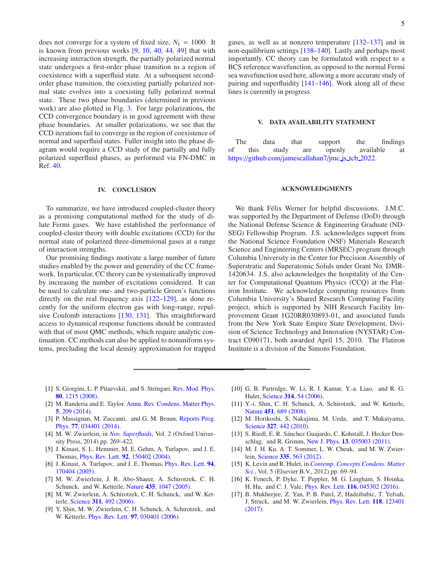does not converge for a system of fixed size,  $N_k = 1000$ . It is known from previous works [\[9,](#page-4-5) [10,](#page-4-6) [40,](#page-5-7) [44,](#page-5-31) [49\]](#page-5-4) that with increasing interaction strength, the partially polarized normal state undergoes a first-order phase transition to a region of coexistence with a superfluid state. At a subsequent secondorder phase transition, the coexisting partially polarized normal state evolves into a coexisting fully polarized normal state. These two phase boundaries (determined in previous work) are also plotted in Fig. [3.](#page-3-1) For large polarizations, the CCD convergence boundary is in good agreement with these phase boundaries. At smaller polarizations, we see that the CCD iterations fail to converge in the region of coexistence of normal and superfluid states. Fuller insight into the phase diagram would require a CCD study of the partially and fully polarized superfluid phases, as performed via FN-DMC in Ref. [40](#page-5-7).

## <span id="page-4-3"></span>IV. CONCLUSION

To summarize, we have introduced coupled-cluster theory as a promising computational method for the study of dilute Fermi gases. We have established the performance of coupled-cluster theory with double excitations (CCD) for the normal state of polarized three-dimensional gases at a range of interaction strengths.

Our promising findings motivate a large number of future studies enabled by the power and generality of the CC framework. In particular, CC theory can be systematically improved by increasing the number of excitations considered. It can be used to calculate one- and two-particle Green's functions directly on the real frequency axis [\[122](#page-6-19)[–129](#page-6-20)], as done recently for the uniform electron gas with long-range, repulsive Coulomb interactions [\[130,](#page-6-21) [131\]](#page-6-22). This straightforward access to dynamical response functions should be contrasted with that of most QMC methods, which require analytic continuation. CC methods can also be applied to nonuniform systems, precluding the local density approximation for trapped gases, as well as at nonzero temperature [\[132](#page-6-23)[–137\]](#page-6-24) and in non-equilibrium settings [\[138](#page-6-25)[–140\]](#page-6-26). Lastly and perhaps most importantly, CC theory can be formulated with respect to a BCS reference wavefunction, as opposed to the normal Fermi sea wavefunction used here, allowing a more accurate study of pairing and superfluidity [\[141](#page-6-27)[–146](#page-6-28)]. Work along all of these lines is currently in progress.

### V. DATA AVAILABILITY STATEMENT

The data that support the findings of this study are openly available at https://github.com/[jamescallahan7](https://github.com/jamescallahan7/jmc_js_tcb_2022)/jmc.js\_tcb\_2022.

## ACKNOWLEDGMENTS

We thank Félix Werner for helpful discussions. J.M.C. was supported by the Department of Defense (DoD) through the National Defense Science & Engineering Graduate (ND-SEG) Fellowship Program. J.S. acknowledges support from the National Science Foundation (NSF) Materials Research Science and Engineering Centers (MRSEC) program through Columbia University in the Center for Precision Assembly of Superstratic and Superatomic Solids under Grant No. DMR-1420634. J.S. also acknowledges the hospitality of the Center for Computational Quantum Physics (CCQ) at the Flatiron Institute. We acknowledge computing resources from Columbia University's Shared Research Computing Facility project, which is supported by NIH Research Facility Improvement Grant 1G20RR030893-01, and associated funds from the New York State Empire State Development, Division of Science Technology and Innovation (NYSTAR) Contract C090171, both awarded April 15, 2010. The Flatiron Institute is a division of the Simons Foundation.

- <span id="page-4-0"></span>[1] S. Giorgini, L. P. Pitaevskii, and S. Stringari, Rev. Mod. Phys. 80, 1215 (2008)[.](http://dx.doi.org/10.1103/RevModPhys.80.1215)
- <span id="page-4-4"></span>[2] M. Randeria and E. Taylor, Annu. Rev. Condens. Matter Phys. 5, 209 (2014).
- [3] P. Massignan, M. Zaccanti, and G. M. Bruun, Reports Prog. Phys. 77, 034401 (2014).
- <span id="page-4-1"></span>[4] M. W. Zwierlein, in *[Nov. Superfluids](http://dx.doi.org/ 10.1093/acprof:oso/9780198719267.003.0007)*, Vol. 2 (Oxford University Press, 2014) pp. 269–422.
- <span id="page-4-2"></span>[5] J. Kinast, S. L. Hemmer, M. E. Gehm, A. Turlapov, and J. E. Thomas, Phys. Rev. Lett. 92[, 150402 \(2004\).](http://dx.doi.org/ 10.1103/PhysRevLett.92.150402)
- [6] J. Kinast, A. Turlapov, and J. E. Thomas, Phys. Rev. Lett. 94, 170404 (2005).
- [7] M. W. Zwierlein, J. R. Abo-Shaeer, A. Schirotzek, C. H. Schunck, and W. Ketterle, Nature 435[, 1047 \(2005\).](http://dx.doi.org/10.1038/nature03858)
- [8] M. W. Zwierlein, A. Schirotzek, C. H. Schunck, and W. Ketterle, Science 311[, 492 \(2006\).](http://dx.doi.org/10.1126/science.1122318)
- <span id="page-4-5"></span>[9] Y. Shin, M. W. Zwierlein, C. H. Schunck, A. Schirotzek, and W. Ketterle, Phys. Rev. Lett. 97[, 030401 \(2006\).](http://dx.doi.org/ 10.1103/PhysRevLett.97.030401)
- <span id="page-4-6"></span>[10] G. B. Partridge, W. Li, R. I. Kamar, Y.-a. Liao, and R. G. Hulet, Science 314[, 54 \(2006\).](http://dx.doi.org/ 10.1126/science.1130697)
- [11] Y.-i. Shin, C. H. Schunck, A. Schirotzek, and W. Ketterle, Nature 451[, 689 \(2008\).](http://dx.doi.org/10.1038/nature06473)
- [12] M. Horikoshi, S. Nakajima, M. Ueda, and T. Mukaiyama, Science 327[, 442 \(2010\).](http://dx.doi.org/ 10.1126/science.1183012)
- [13] S. Riedl, E. R. Sánchez Guajardo, C. Kohstall, J. Hecker Denschlag, and R. Grimm, New J. Phys. 13[, 035003 \(2011\).](http://dx.doi.org/ 10.1088/1367-2630/13/3/035003)
- [14] M. J. H. Ku, A. T. Sommer, L. W. Cheuk, and M. W. Zwierlein, Science 335[, 563 \(2012\).](http://dx.doi.org/10.1126/science.1214987)
- [15] K. Levin and R. Hulet, in *Contemp. Concepts Condens. Matter Sci.*, Vol. 5 (Elsevier B.V., 2012) pp. 69–94.
- [16] K. Fenech, P. Dyke, T. Peppler, M. G. Lingham, S. Hoinka, H. Hu, and C. J. Vale, Phys. Rev. Lett. 116[, 045302 \(2016\).](http://dx.doi.org/10.1103/PhysRevLett.116.045302)
- [17] B. Mukherjee, Z. Yan, P. B. Patel, Z. Hadzibabic, T. Yefsah, J. Struck, and M. W. Zwierlein, Phys. Rev. Lett. 118, 123401 (2017).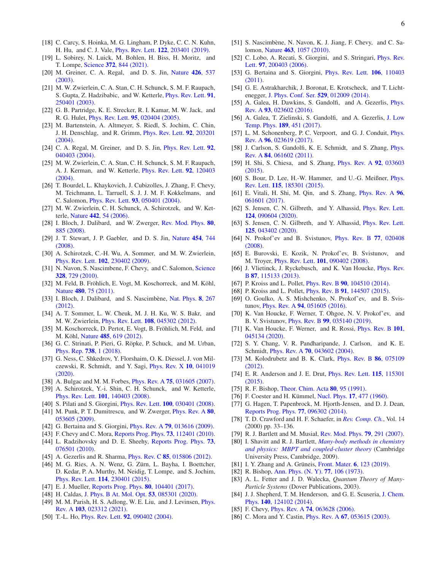- [18] C. Carcy, S. Hoinka, M. G. Lingham, P. Dyke, C. C. N. Kuhn, H. Hu, and C. J. Vale, Phys. Rev. Lett. 122[, 203401 \(2019\).](http://dx.doi.org/ 10.1103/PhysRevLett.122.203401)
- <span id="page-5-0"></span>[19] L. Sobirey, N. Luick, M. Bohlen, H. Biss, H. Moritz, and T. Lompe, Science 372[, 844 \(2021\).](http://dx.doi.org/ 10.1126/science.abc8793)
- <span id="page-5-1"></span>[20] M. Gr[einer, C. A. Regal, and D. S. Jin,](http://dx.doi.org/10.1038/nature02199) Nature 426, 537 (2003).
- [21] M. W. Zwierlein, C. A. Stan, C. H. Schunck, S. M. F. Raupach, S. Gupta, Z. Hadzibabic, and W. Ketterle, Phys. Rev. Lett. 91, 250401 (2003)[.](http://dx.doi.org/ 10.1103/PhysRevLett.91.250401)
- [22] G. B. Partridge, K. E. Strecker, R. I. Kamar, M. W. Jack, and R. G. Hulet, Phys. Rev. Lett. 95[, 020404 \(2005\).](http://dx.doi.org/10.1103/PhysRevLett.95.020404)
- [23] M. Bartenstein, A. Altmeyer, S. Riedl, S. Jochim, C. Chin, J. H. Denschlag, and R. Grimm, Phys. Rev. Lett. 92, 203201 (2004).
- [24] C. A. Regal, M. Greiner, and D. S. Jin, *Phys. Rev. Lett.* 92, 040403 (2004).
- [25] M. W. Zwierlein, C. A. Stan, C. H. Schunck, S. M. F. Raupach, A. J. Kerman, and W. Ketterle, Phys. Rev. Lett. 92, 120403 (2004).
- [26] T. Bourdel, L. Khaykovich, J. Cubizolles, J. Zhang, F. Chevy, M. Teichmann, L. Tarruell, S. J. J. M. F. Kokkelmans, and C. Salomon, Phys. Rev. Lett. 93[, 050401 \(2004\).](http://dx.doi.org/ 10.1103/PhysRevLett.93.050401)
- [27] M. W. Zwierlein, C. H. Schunck, A. Schirotzek, and W. Ketterle, Nature 442[, 54 \(2006\).](http://dx.doi.org/10.1038/nature04936)
- [28] I. Bloch, J. Dalibard, and W. Zwerger, Rev. Mod. Phys. 80, 885 (2008).
- [29] J. T. Stewart, J. P. Gaebler, and D. S. Jin, Nature 454, 744 (2008).
- [30] A. Schirotzek, C.-H. Wu, A. Sommer, and M. W. Zwierlein, Phys. Rev. Lett. 102[, 230402 \(2009\).](http://dx.doi.org/ 10.1103/PhysRevLett.102.230402)
- [31] N. Navon, S. Nascimbene, F. Chevy, and C. Salomon, Science 328, 729 (2010).
- [32] M. Feld, B. Fröhlich, E. Vogt, M. Koschorreck, and M. Köhl, Nature 480[, 75 \(2011\).](http://dx.doi.org/10.1038/nature10627)
- [33] I. Bloch, J. Dalibard, and S. Nascimbène, Nat. Phys. 8, 267 (2012).
- [34] A. T. Sommer, L. W. Cheuk, M. J. H. Ku, W. S. Bakr, and M. W. Zwierlein, Phys. Rev. Lett. 108[, 045302 \(2012\).](http://dx.doi.org/ 10.1103/PhysRevLett.108.045302)
- [35] M. Koschorreck, D. Pertot, E. Vogt, B. Fröhlich, M. Feld, and M. Köhl, Nature 485[, 619 \(2012\).](http://dx.doi.org/ 10.1038/nature11151)
- [36] G. C. Strinati, P. Pieri, G. Röpke, P. Schuck, and M. Urban, [Phys. Rep.](http://dx.doi.org/ 10.1016/j.physrep.2018.02.004) 738, 1 (2018).
- <span id="page-5-2"></span>[37] G. Ness, C. Shkedrov, Y. Florshaim, O. K. Diessel, J. von Milczewski, R. Schmidt, and Y. Sagi, Phys. Rev. X 10, 041019 (2020).
- <span id="page-5-3"></span>[38] A. Bulgac and M. M. Forbes, *Phys. Rev. A* **75**[, 031605 \(2007\).](http://dx.doi.org/10.1103/PhysRevA.75.031605)
- [39] A. Schirotzek, Y.-i. Shin, C. H. Schunck, and W. Ketterle, Phys. Rev. Lett. 101[, 140403 \(2008\).](http://dx.doi.org/10.1103/PhysRevLett.101.140403)
- <span id="page-5-7"></span>[40] S. Pilati and S. Giorgini, *Phys. Rev. Lett.* **100**[, 030401 \(2008\).](http://dx.doi.org/10.1103/PhysRevLett.100.030401)
- <span id="page-5-30"></span>[41] M. Punk, P. T. Dumitrescu, and W. Zwerger, *Phys. Rev. A* 80, 053605 (2009).
- <span id="page-5-29"></span>[42] G. Bertaina and S. Giorgini, Phys. Rev. A 79[, 013616 \(2009\).](http://dx.doi.org/10.1103/PhysRevA.79.013616)
- [43] F. Chevy and C. Mora, [Reports Prog. Phys.](http://dx.doi.org/10.1088/0034-4885/73/11/112401) 73, 112401 (2010).
- <span id="page-5-31"></span>[44] L. Radzihovsky and D. E. Sheehy, Reports Prog. Phys. **73**, 076501 (2010).
- [45] A. Gezerlis and R. Sharma, *Phys. Rev. C* **85**[, 015806 \(2012\).](http://dx.doi.org/10.1103/PhysRevC.85.015806)
- [46] M. G. Ries, A. N. Wenz, G. Zürn, L. Bayha, I. Boettcher, D. Kedar, P. A. Murthy, M. Neidig, T. Lompe, and S. Jochim, Phys. Rev. Lett. 114[, 230401 \(2015\).](http://dx.doi.org/ 10.1103/PhysRevLett.114.230401)
- [47] E. J. Mueller, [Reports Prog. Phys.](http://dx.doi.org/10.1088/1361-6633/aa7e53) **80**, 104401 (2017).
- [48] H. Caldas, [J. Phys. B At. Mol. Opt.](http://dx.doi.org/10.1088/1361-6455/ab7078) 53, 085301 (2020).
- <span id="page-5-4"></span>[49] M. M. Parish, H. S. Adlong, W. E. Liu, and J. Levinsen, Phys. Rev. A 103, 023312 (2021).
- <span id="page-5-5"></span>[50] T.-L. Ho, *Phys. Rev. Lett.* **92**[, 090402 \(2004\).](http://dx.doi.org/10.1103/PhysRevLett.92.090402)
- <span id="page-5-6"></span>[51] S. Nascimbène, N. Navon, K. J. Jiang, F. Chevy, and C. Salomon, Nature 463[, 1057 \(2010\).](http://dx.doi.org/ 10.1038/nature08814)
- <span id="page-5-8"></span>[52] C. Lobo, A. Recati, S. Giorgini, and S. Stringari, *Phys. Rev.* Lett. 97, 200403 (2006).
- [53] G. Bertaina and S. Giorgini, *Phys. Rev. Lett.* **106**, 110403 (2011).
- [54] G. E. Astrakharchik, J. Boronat, E. Krotscheck, and T. Lichtenegger, [J. Phys. Conf. Ser.](http://dx.doi.org/10.1088/1742-6596/529/1/012009) 529, 012009 (2014).
- [55] A. Galea, H. Dawkins, S. Gandolfi, and A. Gezerlis, *Phys.* Rev. A 93, 023602 (2016).
- [56] A. Galea, T. Zielinski, S. Gandolfi, and A. Gezerlis, J. Low Temp. Phys. **189**, 451 (2017).
- <span id="page-5-9"></span>[57] L. M. Schonenberg, P. C. Verpoort, and G. J. Conduit, *Phys.* Rev. A 96, 023619 (2017).
- <span id="page-5-10"></span>[58] J. Carlson, S. Gandolfi, K. E. Schmidt, and S. Zhang, *Phys.* Rev. A 84, 061602 (2011).
- [59] H. Shi, S. Chiesa, and S. Zhang, *Phys. Rev. A* **92**, 033603 (2015).
- [60] S. Bour, D. Lee, H.-W. Hammer, and U.-G. Meißner, Phys. Rev. Lett. 115, 185301 (2015)[.](http://dx.doi.org/10.1103/PhysRevLett.115.185301)
- [61] E. Vitali, H. Shi, M. Qin, and S. Zhang, Phys. Rev. A 96, 061601 (2017)[.](http://dx.doi.org/ 10.1103/PhysRevA.96.061601)
- [62] S. Jensen, C. N. Gilbreth, and Y. Alhassid, Phys. Rev. Lett. 124, 090604 (2020)[.](http://dx.doi.org/10.1103/PhysRevLett.124.090604)
- <span id="page-5-11"></span>[63] S. Jensen, C. N. Gilbreth, and Y. Alhassid, Phys. Rev. Lett. 125, 043402 (2020).
- <span id="page-5-12"></span>[64] N. Prokof'ev and B. Svistunov, Phys. Rev. B 77, 020408 (2008).
- [65] E. Burovski, E. Kozik, N. Prokof'ev, B. Svistunov, and M. Troyer, Phys. Rev. Lett. 101[, 090402 \(2008\).](http://dx.doi.org/ 10.1103/PhysRevLett.101.090402)
- <span id="page-5-26"></span>[66] J. Vlietinck, J. Ryckebusch, and K. Van Houcke, Phys. Rev. B 87, 115133 (2013).
- [67] P. Kroiss and L. Pollet, *Phys. Rev. B* 90[, 104510 \(2014\).](http://dx.doi.org/10.1103/PhysRevB.90.104510)
- [68] P. Kroiss and L. Pollet, *Phys. Rev. B* 91[, 144507 \(2015\).](http://dx.doi.org/10.1103/PhysRevB.91.144507)
- [69] O. Goulko, A. S. Mishchenko, N. Prokof'ev, and B. Svistunov, Phys. Rev. A 94[, 051605 \(2016\).](http://dx.doi.org/10.1103/PhysRevA.94.051605)
- [70] K. Van Houcke, F. Werner, T. Ohgoe, N. V. Prokof'ev, and B. V. Svistunov, Phys. Rev. B 99[, 035140 \(2019\).](http://dx.doi.org/ 10.1103/PhysRevB.99.035140)
- <span id="page-5-13"></span>[71] K. Van Houcke, F. Werner, and R. Rossi, *Phys. Rev. B* 101, 045134 (2020).
- <span id="page-5-14"></span>[72] S. Y. Chang, V. R. Pandharipande, J. Carlson, and K. E. Schmidt, Phys. Rev. A 70[, 043602 \(2004\).](http://dx.doi.org/10.1103/PhysRevA.70.043602)
- [73] M. Kolodrubetz and B. K. Clark, *Phys. Rev. B* 86, 075109 (2012)[.](http://dx.doi.org/10.1103/PhysRevB.86.075109)
- <span id="page-5-15"></span>[74] E. R. Anderson and J. E. Drut, *Phys. Rev. Lett.* **115**, 115301 (2015)[.](http://dx.doi.org/10.1103/PhysRevLett.115.115301)
- <span id="page-5-16"></span>[75] R. F. Bishop, [Theor. Chim. Acta](http://dx.doi.org/10.1007/BF01119617) **80**, 95 (1991).
- <span id="page-5-17"></span>[76] F. Coester and H. Kümmel, Nucl. Phys. 17[, 477 \(1960\).](http://dx.doi.org/10.1016/0029-5582(60)90140-1)
- <span id="page-5-18"></span>[77] G. Hagen, T. Papenbrock, M. Hjorth-Jensen, and D. J. Dean, [Reports Prog. Phys.](http://dx.doi.org/10.1088/0034-4885/77/9/096302) 77, 096302 (2014).
- <span id="page-5-19"></span>[78] T. D. Crawford and H. F. Schaefer, in *[Rev. Comp. Ch.](http://dx.doi.org/10.1002/9780470125915.ch2)*, Vol. 14 (2000) pp. 33–136.
- <span id="page-5-27"></span>[79] R. J. Bartlett and M. Musiał, [Rev. Mod. Phys.](http://dx.doi.org/10.1103/RevModPhys.79.291) 79, 291 (2007).
- <span id="page-5-20"></span>[80] I. Shavitt and R. J. Bartlett, *Many-body methods in chemistry and physics: MBPT and c[oupled-cluster theory](http://dx.doi.org/10.1017/CBO9780511596834)* (Cambridge University Press, Cambridge, 2009).
- <span id="page-5-21"></span>[81] I. Y. Zhang and A. Grüneis, [Front. Mater.](http://dx.doi.org/10.3389/fmats.2019.00123) 6, 123 (2019).
- <span id="page-5-22"></span>[82] R. Bishop, [Ann. Phys. \(N. Y\).](http://dx.doi.org/10.1016/0003-4916(73)90411-9) 77, 106 (1973).
- <span id="page-5-28"></span>[83] A. L. Fetter and J. D. Walecka, *Quantum Theory of Many-Particle Systems* (Dover Publications, 2003).
- <span id="page-5-23"></span>[84] J. J. Shepherd, T. M. Henderson, and G. E. Scuseria, J. Chem. Phys. 140, 124102 (2014).
- <span id="page-5-24"></span>[85] F. Chevy, *Phys. Rev. A* **74**[, 063628 \(2006\).](http://dx.doi.org/10.1103/PhysRevA.74.063628)
- <span id="page-5-25"></span>[86] C. Mora and Y. Castin, *Phys. Rev. A* **67**[, 053615 \(2003\).](http://dx.doi.org/10.1103/PhysRevA.67.053615)